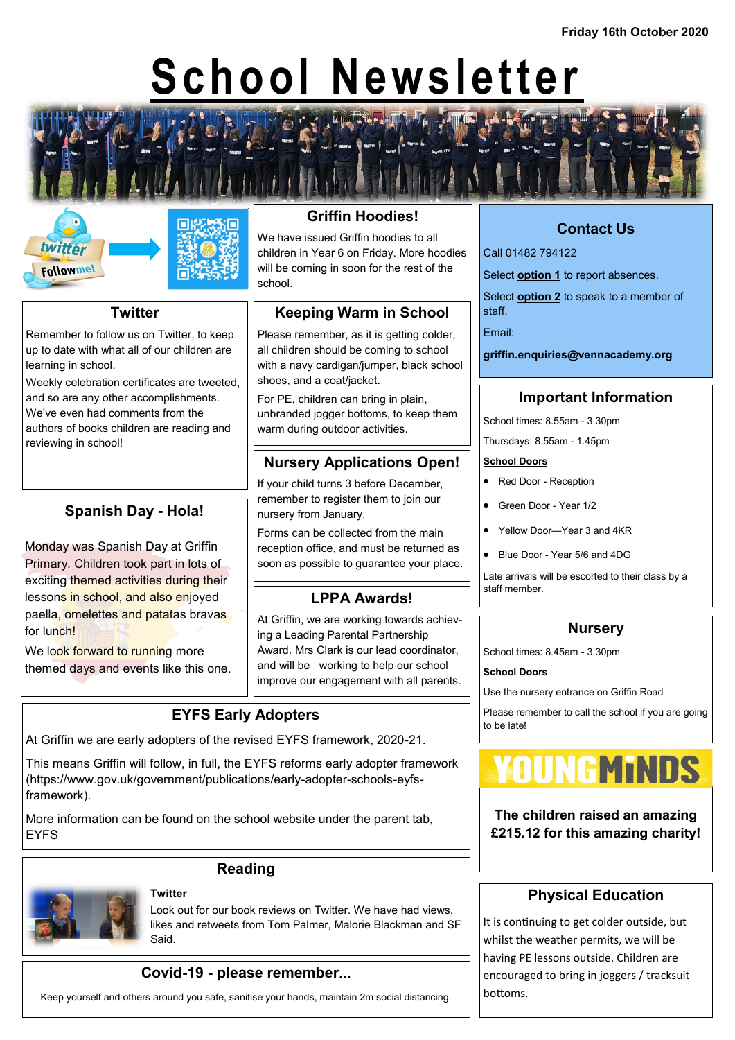# **School Newsletter**





#### **Twitter**

Remember to follow us on Twitter, to keep up to date with what all of our children are learning in school.

Weekly celebration certificates are tweeted, and so are any other accomplishments. We've even had comments from the authors of books children are reading and reviewing in school!

#### **Spanish Day - Hola!**

Monday was Spanish Day at Griffin Primary. Children took part in lots of exciting themed activities during their lessons in school, and also enjoyed paella, omelettes and patatas bravas for lunch!

We look forward to running more themed days and events like this one.

# **Griffin Hoodies!**

We have issued Griffin hoodies to all children in Year 6 on Friday. More hoodies will be coming in soon for the rest of the school.

#### **Keeping Warm in School**

Please remember, as it is getting colder, all children should be coming to school with a navy cardigan/jumper, black school shoes, and a coat/jacket.

For PE, children can bring in plain, unbranded jogger bottoms, to keep them warm during outdoor activities.

## **Nursery Applications Open!**

If your child turns 3 before December, remember to register them to join our nursery from January.

Forms can be collected from the main reception office, and must be returned as soon as possible to guarantee your place.

#### **LPPA Awards!**

At Griffin, we are working towards achieving a Leading Parental Partnership Award. Mrs Clark is our lead coordinator, and will be working to help our school improve our engagement with all parents.

#### **EYFS Early Adopters**

At Griffin we are early adopters of the revised EYFS framework, 2020-21.

This means Griffin will follow, in full, the EYFS reforms early adopter framework (https://www.gov.uk/government/publications/early-adopter-schools-eyfsframework).

More information can be found on the school website under the parent tab, EYFS



#### **Reading Twitter**

Look out for our book reviews on Twitter. We have had views, likes and retweets from Tom Palmer, Malorie Blackman and SF Said.

#### **Covid-19 - please remember...**

Keep yourself and others around you safe, sanitise your hands, maintain 2m social distancing.

## **Contact Us**

Call 01482 794122

Select **option 1** to report absences.

Select **option 2** to speak to a member of staff.

Email:

**griffin.enquiries@vennacademy.org**

#### **Important Information**

School times: 8.55am - 3.30pm

Thursdays: 8.55am - 1.45pm

#### **School Doors**

- Red Door Reception
- Green Door Year 1/2
- Yellow Door—Year 3 and 4KR
- Blue Door Year 5/6 and 4DG

Late arrivals will be escorted to their class by a staff member.

#### **Nursery**

School times: 8.45am - 3.30pm

#### **School Doors**

Use the nursery entrance on Griffin Road

Please remember to call the school if you are going to be late!



**The children raised an amazing £215.12 for this amazing charity!**

#### **Physical Education**

It is continuing to get colder outside, but whilst the weather permits, we will be having PE lessons outside. Children are encouraged to bring in joggers / tracksuit bottoms.